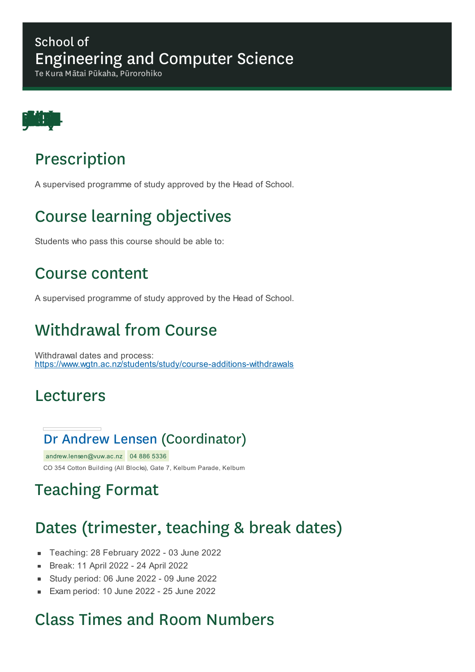#### School of Engineering and Computer Science

Te Kura Mātai Pūkaha, Pūrorohiko



## Prescription

A supervised programme of study approved by the Head of School.

# Course learning objectives

Students who pass this course should be able to:

#### Course content

A supervised programme of study approved by the Head of School.

## Withdrawal from Course

Withdrawal dates and process: https://www.wgtn.ac.nz/students/study/course-additions-withdrawals

#### Lecturers

#### Dr Andrew Lensen (Coordinator)

andrew.lensen@vuw.ac.nz 04 886 5336 CO 354 Cotton Building (All Blocks), Gate 7, Kelburn Parade, Kelburn

## Teaching Format

## Dates (trimester, teaching & break dates)

- Teaching: 28 February 2022 03 June 2022
- Break: 11 April 2022 24 April 2022  $\blacksquare$
- Study period: 06 June 2022 09 June 2022  $\blacksquare$
- Exam period: 10 June 2022 25 June 2022

## Class Times and Room Numbers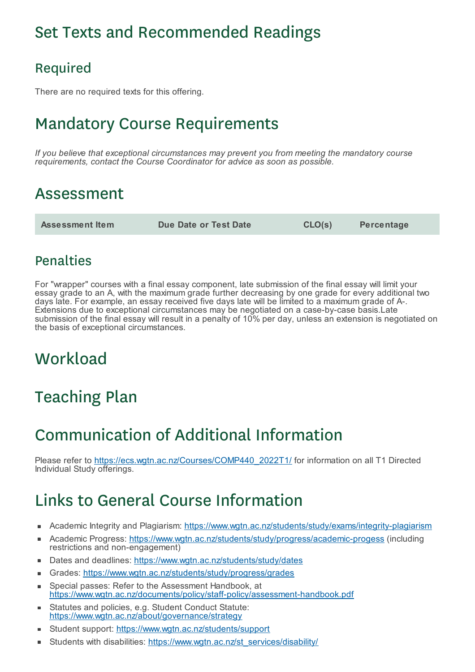## Set Texts and Recommended Readings

#### Required

There are no required texts for this offering.

# Mandatory Course Requirements

*If you believe that exceptional circumstances may prevent you from meeting the mandatory course requirements, contact the Course Coordinator for advice as soon as possible.*

### Assessment

**Assessment Item Due Date or Test Date CLO(s) Percentage**

#### **Penalties**

For "wrapper" courses with a final essay component, late submission of the final essay will limit your essay grade to an A, with the maximum grade further decreasing by one grade for every additional two days late. For example, an essay received five days late will be limited to a maximum grade of A-. Extensions due to exceptional circumstances may be negotiated on a case-by-case basis.Late submission of the final essay will result in a penalty of 10% per day, unless an extension is negotiated on the basis of exceptional circumstances.

### **Workload**

# Teaching Plan

# Communication of Additional Information

Please refer to https://ecs.wgtn.ac.nz/Courses/COMP440\_2022T1/ for information on all T1 Directed Individual Study offerings.

# Links to General Course Information

- Academic Integrity and Plagiarism: https://www.wgtn.ac.nz/students/study/exams/integrity-plagiarism
- Academic Progress: https://www.wgtn.ac.nz/students/study/progress/academic-progess (including × restrictions and non-engagement)
- Dates and deadlines: https://www.wgtn.ac.nz/students/study/dates
- Grades: https://www.wgtn.ac.nz/students/study/progress/grades
- Special passes: Refer to the Assessment Handbook, at ÷ https://www.wgtn.ac.nz/documents/policy/staff-policy/assessment-handbook.pdf
- Statutes and policies, e.g. Student Conduct Statute: https://www.wgtn.ac.nz/about/governance/strategy
- Student support: https://www.wgtn.ac.nz/students/support
- Students with disabilities: https://www.wgtn.ac.nz/st\_services/disability/  $\blacksquare$